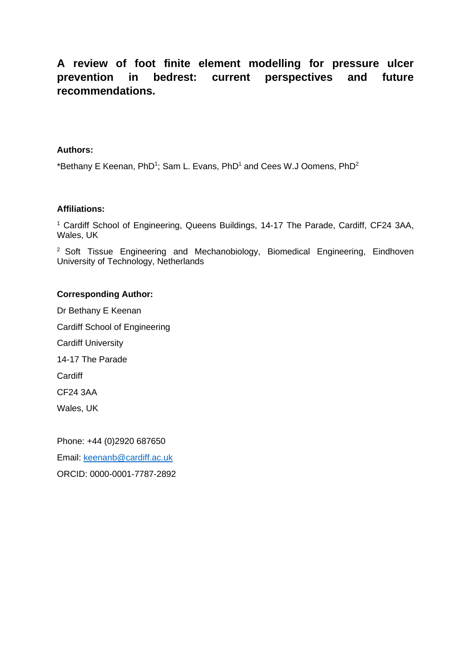# **A review of foot finite element modelling for pressure ulcer prevention in bedrest: current perspectives and future recommendations.**

#### **Authors:**

\*Bethany E Keenan, PhD<sup>1</sup>; Sam L. Evans, PhD<sup>1</sup> and Cees W.J Oomens, PhD<sup>2</sup>

#### **Affiliations:**

<sup>1</sup> Cardiff School of Engineering, Queens Buildings, 14-17 The Parade, Cardiff, CF24 3AA, Wales, UK

<sup>2</sup> Soft Tissue Engineering and Mechanobiology, Biomedical Engineering, Eindhoven University of Technology, Netherlands

# **Corresponding Author:**

Dr Bethany E Keenan Cardiff School of Engineering Cardiff University 14-17 The Parade **Cardiff** CF24 3AA Wales, UK

Phone: +44 (0)2920 687650 Email: [keenanb@cardiff.ac.uk](mailto:keenanb@cardiff.ac.uk) ORCID: 0000-0001-7787-2892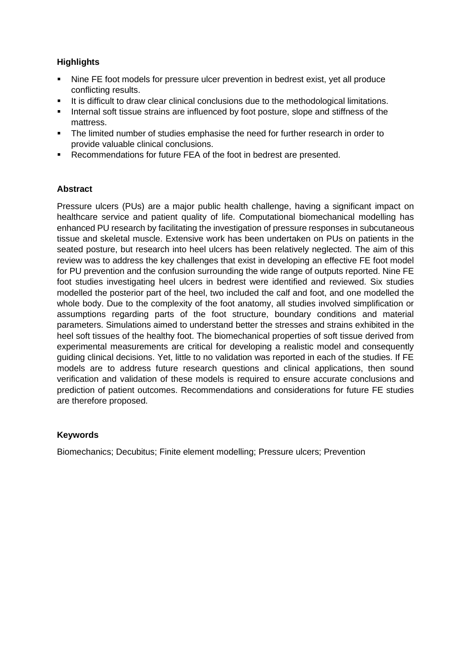# **Highlights**

- Nine FE foot models for pressure ulcer prevention in bedrest exist, yet all produce conflicting results.
- It is difficult to draw clear clinical conclusions due to the methodological limitations.
- **.** Internal soft tissue strains are influenced by foot posture, slope and stiffness of the mattress.
- The limited number of studies emphasise the need for further research in order to provide valuable clinical conclusions.
- Recommendations for future FEA of the foot in bedrest are presented.

# **Abstract**

Pressure ulcers (PUs) are a major public health challenge, having a significant impact on healthcare service and patient quality of life. Computational biomechanical modelling has enhanced PU research by facilitating the investigation of pressure responses in subcutaneous tissue and skeletal muscle. Extensive work has been undertaken on PUs on patients in the seated posture, but research into heel ulcers has been relatively neglected. The aim of this review was to address the key challenges that exist in developing an effective FE foot model for PU prevention and the confusion surrounding the wide range of outputs reported. Nine FE foot studies investigating heel ulcers in bedrest were identified and reviewed. Six studies modelled the posterior part of the heel, two included the calf and foot, and one modelled the whole body. Due to the complexity of the foot anatomy, all studies involved simplification or assumptions regarding parts of the foot structure, boundary conditions and material parameters. Simulations aimed to understand better the stresses and strains exhibited in the heel soft tissues of the healthy foot. The biomechanical properties of soft tissue derived from experimental measurements are critical for developing a realistic model and consequently guiding clinical decisions. Yet, little to no validation was reported in each of the studies. If FE models are to address future research questions and clinical applications, then sound verification and validation of these models is required to ensure accurate conclusions and prediction of patient outcomes. Recommendations and considerations for future FE studies are therefore proposed.

# **Keywords**

Biomechanics; Decubitus; Finite element modelling; Pressure ulcers; Prevention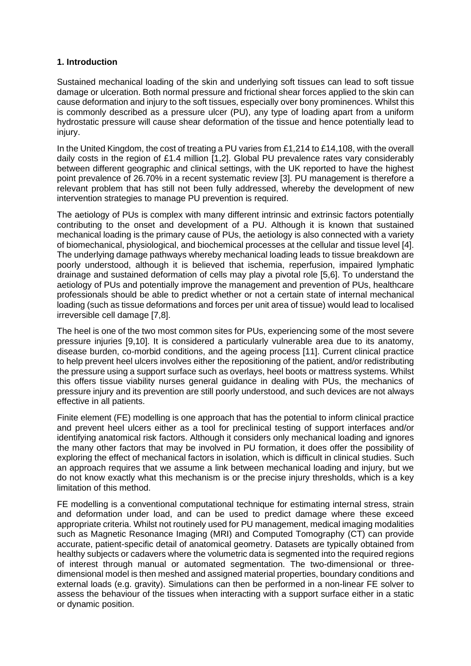# **1. Introduction**

Sustained mechanical loading of the skin and underlying soft tissues can lead to soft tissue damage or ulceration. Both normal pressure and frictional shear forces applied to the skin can cause deformation and injury to the soft tissues, especially over bony prominences. Whilst this is commonly described as a pressure ulcer (PU), any type of loading apart from a uniform hydrostatic pressure will cause shear deformation of the tissue and hence potentially lead to injury.

In the United Kingdom, the cost of treating a PU varies from £1,214 to £14,108, with the overall daily costs in the region of £1.4 million [1,2]. Global PU prevalence rates vary considerably between different geographic and clinical settings, with the UK reported to have the highest point prevalence of 26.70% in a recent systematic review [3]. PU management is therefore a relevant problem that has still not been fully addressed, whereby the development of new intervention strategies to manage PU prevention is required.

The aetiology of PUs is complex with many different intrinsic and extrinsic factors potentially contributing to the onset and development of a PU. Although it is known that sustained mechanical loading is the primary cause of PUs, the aetiology is also connected with a variety of biomechanical, physiological, and biochemical processes at the cellular and tissue level [4]. The underlying damage pathways whereby mechanical loading leads to tissue breakdown are poorly understood, although it is believed that ischemia, reperfusion, impaired lymphatic drainage and sustained deformation of cells may play a pivotal role [5,6]. To understand the aetiology of PUs and potentially improve the management and prevention of PUs, healthcare professionals should be able to predict whether or not a certain state of internal mechanical loading (such as tissue deformations and forces per unit area of tissue) would lead to localised irreversible cell damage [7,8].

The heel is one of the two most common sites for PUs, experiencing some of the most severe pressure injuries [9,10]. It is considered a particularly vulnerable area due to its anatomy, disease burden, co-morbid conditions, and the ageing process [11]. Current clinical practice to help prevent heel ulcers involves either the repositioning of the patient, and/or redistributing the pressure using a support surface such as overlays, heel boots or mattress systems. Whilst this offers tissue viability nurses general guidance in dealing with PUs, the mechanics of pressure injury and its prevention are still poorly understood, and such devices are not always effective in all patients.

Finite element (FE) modelling is one approach that has the potential to inform clinical practice and prevent heel ulcers either as a tool for preclinical testing of support interfaces and/or identifying anatomical risk factors. Although it considers only mechanical loading and ignores the many other factors that may be involved in PU formation, it does offer the possibility of exploring the effect of mechanical factors in isolation, which is difficult in clinical studies. Such an approach requires that we assume a link between mechanical loading and injury, but we do not know exactly what this mechanism is or the precise injury thresholds, which is a key limitation of this method.

FE modelling is a conventional computational technique for estimating internal stress, strain and deformation under load, and can be used to predict damage where these exceed appropriate criteria. Whilst not routinely used for PU management, medical imaging modalities such as Magnetic Resonance Imaging (MRI) and Computed Tomography (CT) can provide accurate, patient-specific detail of anatomical geometry. Datasets are typically obtained from healthy subjects or cadavers where the volumetric data is segmented into the required regions of interest through manual or automated segmentation. The two-dimensional or threedimensional model is then meshed and assigned material properties, boundary conditions and external loads (e.g. gravity). Simulations can then be performed in a non-linear FE solver to assess the behaviour of the tissues when interacting with a support surface either in a static or dynamic position.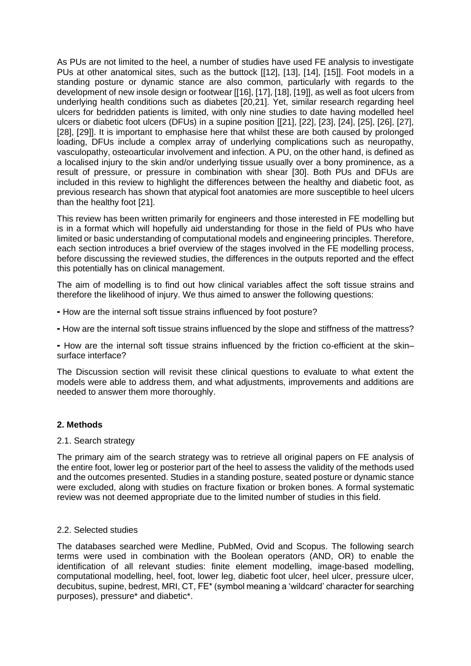As PUs are not limited to the heel, a number of studies have used FE analysis to investigate PUs at other anatomical sites, such as the buttock [[12], [13], [14], [15]]. Foot models in a standing posture or dynamic stance are also common, particularly with regards to the development of new insole design or footwear [[16], [17], [18], [19]], as well as foot ulcers from underlying health conditions such as diabetes [20,21]. Yet, similar research regarding heel ulcers for bedridden patients is limited, with only nine studies to date having modelled heel ulcers or diabetic foot ulcers (DFUs) in a supine position [[21], [22], [23], [24], [25], [26], [27], [28], [29]]. It is important to emphasise here that whilst these are both caused by prolonged loading, DFUs include a complex array of underlying complications such as neuropathy, vasculopathy, osteoarticular involvement and infection. A PU, on the other hand, is defined as a localised injury to the skin and/or underlying tissue usually over a bony prominence, as a result of pressure, or pressure in combination with shear [30]. Both PUs and DFUs are included in this review to highlight the differences between the healthy and diabetic foot, as previous research has shown that atypical foot anatomies are more susceptible to heel ulcers than the healthy foot [21].

This review has been written primarily for engineers and those interested in FE modelling but is in a format which will hopefully aid understanding for those in the field of PUs who have limited or basic understanding of computational models and engineering principles. Therefore, each section introduces a brief overview of the stages involved in the FE modelling process, before discussing the reviewed studies, the differences in the outputs reported and the effect this potentially has on clinical management.

The aim of modelling is to find out how clinical variables affect the soft tissue strains and therefore the likelihood of injury. We thus aimed to answer the following questions:

- ⁃ How are the internal soft tissue strains influenced by foot posture?
- ⁃ How are the internal soft tissue strains influenced by the slope and stiffness of the mattress?

⁃ How are the internal soft tissue strains influenced by the friction co-efficient at the skin– surface interface?

The Discussion section will revisit these clinical questions to evaluate to what extent the models were able to address them, and what adjustments, improvements and additions are needed to answer them more thoroughly.

#### **2. Methods**

#### 2.1. Search strategy

The primary aim of the search strategy was to retrieve all original papers on FE analysis of the entire foot, lower leg or posterior part of the heel to assess the validity of the methods used and the outcomes presented. Studies in a standing posture, seated posture or dynamic stance were excluded, along with studies on fracture fixation or broken bones. A formal systematic review was not deemed appropriate due to the limited number of studies in this field.

#### 2.2. Selected studies

The databases searched were Medline, PubMed, Ovid and Scopus. The following search terms were used in combination with the Boolean operators (AND, OR) to enable the identification of all relevant studies: finite element modelling, image-based modelling, computational modelling, heel, foot, lower leg, diabetic foot ulcer, heel ulcer, pressure ulcer, decubitus, supine, bedrest, MRI, CT, FE\* (symbol meaning a 'wildcard' character for searching purposes), pressure\* and diabetic\*.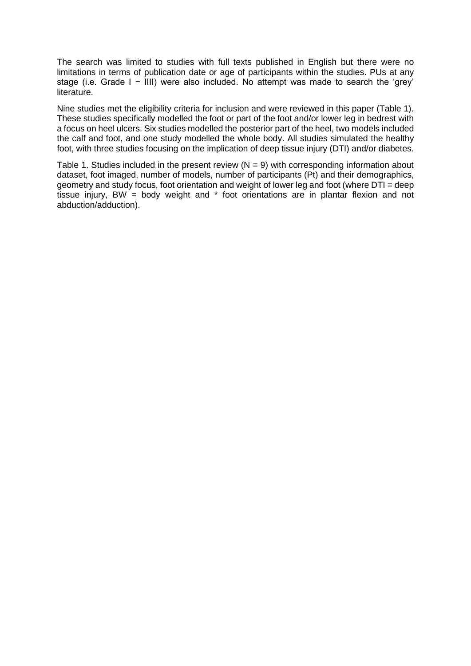The search was limited to studies with full texts published in English but there were no limitations in terms of publication date or age of participants within the studies. PUs at any stage (i.e. Grade I − IIII) were also included. No attempt was made to search the 'grey' literature.

Nine studies met the eligibility criteria for inclusion and were reviewed in this paper (Table 1). These studies specifically modelled the foot or part of the foot and/or lower leg in bedrest with a focus on heel ulcers. Six studies modelled the posterior part of the heel, two models included the calf and foot, and one study modelled the whole body. All studies simulated the healthy foot, with three studies focusing on the implication of deep tissue injury (DTI) and/or diabetes.

Table 1. Studies included in the present review ( $N = 9$ ) with corresponding information about dataset, foot imaged, number of models, number of participants (Pt) and their demographics, geometry and study focus, foot orientation and weight of lower leg and foot (where DTI = deep tissue injury, BW = body weight and  $*$  foot orientations are in plantar flexion and not abduction/adduction).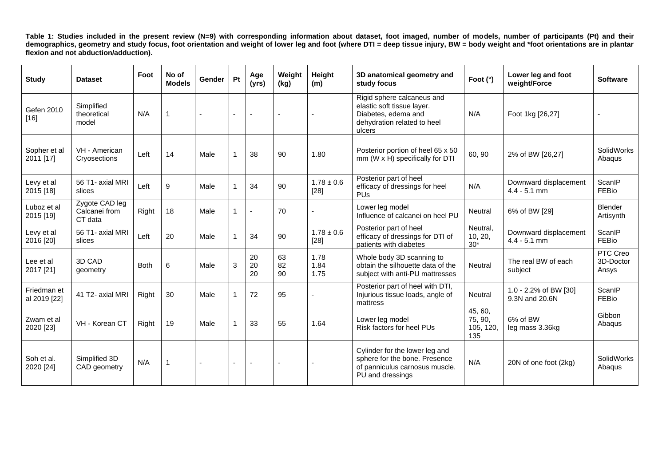**Table 1: Studies included in the present review (N=9) with corresponding information about dataset, foot imaged, number of models, number of participants (Pt) and their demographics, geometry and study focus, foot orientation and weight of lower leg and foot (where DTI = deep tissue injury, BW = body weight and \*foot orientations are in plantar flexion and not abduction/adduction).** 

| <b>Study</b>                | <b>Dataset</b>                             | Foot        | No of<br><b>Models</b> | <b>Gender</b> | Pt | Age<br>(yrs)   | Weight<br>(kg) | Height<br>(m)            | 3D anatomical geometry and<br>study focus                                                                                | Foot (°)                               | Lower leg and foot<br>weight/Force      | <b>Software</b>                |
|-----------------------------|--------------------------------------------|-------------|------------------------|---------------|----|----------------|----------------|--------------------------|--------------------------------------------------------------------------------------------------------------------------|----------------------------------------|-----------------------------------------|--------------------------------|
| Gefen 2010<br>$[16]$        | Simplified<br>theoretical<br>model         | N/A         | $\overline{1}$         |               |    |                |                |                          | Rigid sphere calcaneus and<br>elastic soft tissue layer.<br>Diabetes, edema and<br>dehydration related to heel<br>ulcers | N/A                                    | Foot 1kg [26,27]                        |                                |
| Sopher et al<br>2011 [17]   | VH - American<br>Cryosections              | Left        | 14                     | Male          | 1  | 38             | 90             | 1.80                     | Posterior portion of heel 65 x 50<br>mm (W x H) specifically for DTI                                                     | 60, 90                                 | 2% of BW [26,27]                        | SolidWorks<br>Abaqus           |
| Levy et al<br>2015 [18]     | 56 T1- axial MRI<br>slices                 | Left        | 9                      | Male          |    | 34             | 90             | $1.78 \pm 0.6$<br>$[28]$ | Posterior part of heel<br>efficacy of dressings for heel<br><b>PU<sub>s</sub></b>                                        | N/A                                    | Downward displacement<br>$4.4 - 5.1$ mm | ScanIP<br>FEBio                |
| Luboz et al<br>2015 [19]    | Zygote CAD leg<br>Calcanei from<br>CT data | Right       | 18                     | Male          |    |                | 70             |                          | Lower leg model<br>Influence of calcanei on heel PU                                                                      | <b>Neutral</b>                         | 6% of BW [29]                           | <b>Blender</b><br>Artisynth    |
| Levy et al<br>2016 [20]     | 56 T1- axial MRI<br>slices                 | Left        | 20                     | Male          |    | 34             | 90             | $1.78 \pm 0.6$<br>$[28]$ | Posterior part of heel<br>efficacy of dressings for DTI of<br>patients with diabetes                                     | Neutral,<br>10, 20,<br>$30*$           | Downward displacement<br>$4.4 - 5.1$ mm | ScanIP<br>FEBio                |
| Lee et al<br>2017 [21]      | 3D CAD<br>geometry                         | <b>Both</b> | 6                      | Male          | 3  | 20<br>20<br>20 | 63<br>82<br>90 | 1.78<br>1.84<br>1.75     | Whole body 3D scanning to<br>obtain the silhouette data of the<br>subject with anti-PU mattresses                        | <b>Neutral</b>                         | The real BW of each<br>subject          | PTC Creo<br>3D-Doctor<br>Ansys |
| Friedman et<br>al 2019 [22] | 41 T2- axial MRI                           | Right       | 30                     | Male          |    | 72             | 95             |                          | Posterior part of heel with DTI,<br>Injurious tissue loads, angle of<br>mattress                                         | Neutral                                | 1.0 - 2.2% of BW [30]<br>9.3N and 20.6N | ScanlP<br>FEBio                |
| Zwam et al<br>2020 [23]     | VH - Korean CT                             | Right       | 19                     | Male          | 1  | 33             | 55             | 1.64                     | Lower leg model<br>Risk factors for heel PUs                                                                             | 45, 60,<br>75, 90,<br>105, 120,<br>135 | 6% of BW<br>leg mass 3.36kg             | Gibbon<br>Abaqus               |
| Soh et al.<br>2020 [24]     | Simplified 3D<br>CAD geometry              | N/A         | $\mathbf{1}$           |               |    |                |                |                          | Cylinder for the lower leg and<br>sphere for the bone. Presence<br>of panniculus carnosus muscle.<br>PU and dressings    | N/A                                    | 20N of one foot (2kg)                   | SolidWorks<br>Abaqus           |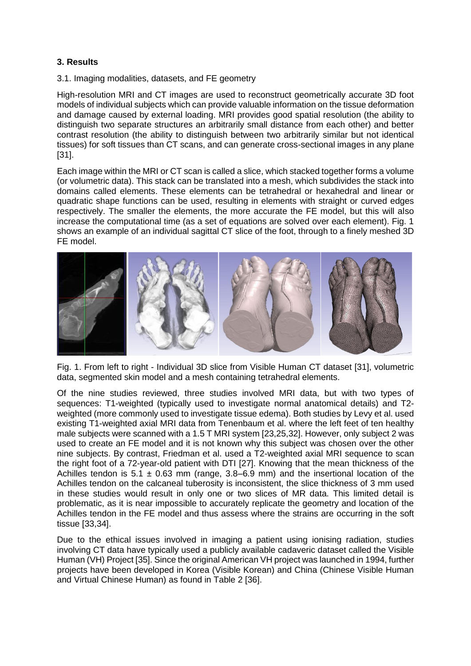# **3. Results**

3.1. Imaging modalities, datasets, and FE geometry

High-resolution MRI and CT images are used to reconstruct geometrically accurate 3D foot models of individual subjects which can provide valuable information on the tissue deformation and damage caused by external loading. MRI provides good spatial resolution (the ability to distinguish two separate structures an arbitrarily small distance from each other) and better contrast resolution (the ability to distinguish between two arbitrarily similar but not identical tissues) for soft tissues than CT scans, and can generate cross-sectional images in any plane [31].

Each image within the MRI or CT scan is called a slice, which stacked together forms a volume (or volumetric data). This stack can be translated into a mesh, which subdivides the stack into domains called elements. These elements can be tetrahedral or hexahedral and linear or quadratic shape functions can be used, resulting in elements with straight or curved edges respectively. The smaller the elements, the more accurate the FE model, but this will also increase the computational time (as a set of equations are solved over each element). Fig. 1 shows an example of an individual sagittal CT slice of the foot, through to a finely meshed 3D FE model.



Fig. 1. From left to right - Individual 3D slice from Visible Human CT dataset [31], volumetric data, segmented skin model and a mesh containing tetrahedral elements.

Of the nine studies reviewed, three studies involved MRI data, but with two types of sequences: T1-weighted (typically used to investigate normal anatomical details) and T2 weighted (more commonly used to investigate tissue edema). Both studies by Levy et al. used existing T1-weighted axial MRI data from Tenenbaum et al. where the left feet of ten healthy male subjects were scanned with a 1.5 T MRI system [23,25,32]. However, only subject 2 was used to create an FE model and it is not known why this subject was chosen over the other nine subjects. By contrast, Friedman et al. used a T2-weighted axial MRI sequence to scan the right foot of a 72-year-old patient with DTI [27]. Knowing that the mean thickness of the Achilles tendon is 5.1  $\pm$  0.63 mm (range, 3.8–6.9 mm) and the insertional location of the Achilles tendon on the calcaneal tuberosity is inconsistent, the slice thickness of 3 mm used in these studies would result in only one or two slices of MR data. This limited detail is problematic, as it is near impossible to accurately replicate the geometry and location of the Achilles tendon in the FE model and thus assess where the strains are occurring in the soft tissue [33,34].

Due to the ethical issues involved in imaging a patient using ionising radiation, studies involving CT data have typically used a publicly available cadaveric dataset called the Visible Human (VH) Project [35]. Since the original American VH project was launched in 1994, further projects have been developed in Korea (Visible Korean) and China (Chinese Visible Human and Virtual Chinese Human) as found in Table 2 [36].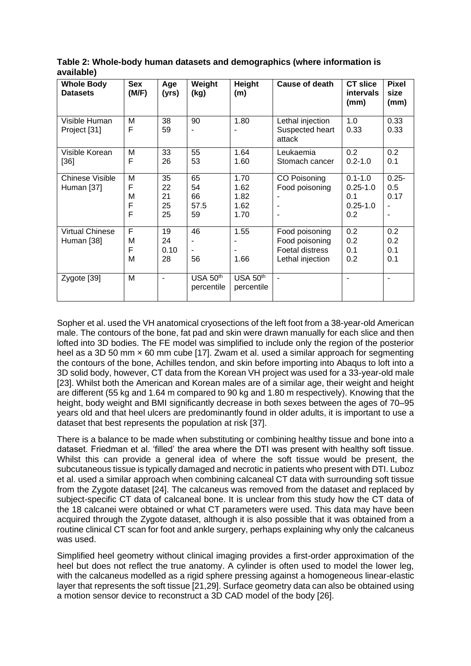| <b>Whole Body</b><br><b>Datasets</b> | <b>Sex</b><br>(M/F)   | Age<br>(yrs)               | Weight<br>(kg)               | Height<br>(m)                        | Cause of death                                                                 | <b>CT slice</b><br>intervals<br>(mm)                      | <b>Pixel</b><br>size<br>(mm)              |
|--------------------------------------|-----------------------|----------------------------|------------------------------|--------------------------------------|--------------------------------------------------------------------------------|-----------------------------------------------------------|-------------------------------------------|
| Visible Human<br>Project [31]        | M<br>F                | 38<br>59                   | 90                           | 1.80                                 | Lethal injection<br>Suspected heart<br>attack                                  | 1.0<br>0.33                                               | 0.33<br>0.33                              |
| Visible Korean<br>[36]               | M<br>F                | 33<br>26                   | 55<br>53                     | 1.64<br>1.60                         | Leukaemia<br>Stomach cancer                                                    | 0.2<br>$0.2 - 1.0$                                        | 0.2<br>0.1                                |
| Chinese Visible<br>Human [37]        | M<br>F<br>M<br>F<br>F | 35<br>22<br>21<br>25<br>25 | 65<br>54<br>66<br>57.5<br>59 | 1.70<br>1.62<br>1.82<br>1.62<br>1.70 | CO Poisoning<br>Food poisoning                                                 | $0.1 - 1.0$<br>$0.25 - 1.0$<br>0.1<br>$0.25 - 1.0$<br>0.2 | $0.25 -$<br>0.5<br>0.17<br>$\blacksquare$ |
| <b>Virtual Chinese</b><br>Human [38] | F<br>M<br>F<br>M      | 19<br>24<br>0.10<br>28     | 46<br>56                     | 1.55<br>1.66                         | Food poisoning<br>Food poisoning<br><b>Foetal distress</b><br>Lethal injection | 0.2<br>0.2<br>0.1<br>0.2                                  | 0.2<br>0.2<br>0.1<br>0.1                  |
| Zygote [39]                          | M                     | ٠                          | USA 50th<br>percentile       | <b>USA 50th</b><br>percentile        | $\blacksquare$                                                                 |                                                           |                                           |

**Table 2: Whole-body human datasets and demographics (where information is available)**

Sopher et al. used the VH anatomical cryosections of the left foot from a 38-year-old American male. The contours of the bone, fat pad and skin were drawn manually for each slice and then lofted into 3D bodies. The FE model was simplified to include only the region of the posterior heel as a 3D 50 mm x 60 mm cube [17]. Zwam et al. used a similar approach for segmenting the contours of the bone, Achilles tendon, and skin before importing into Abaqus to loft into a 3D solid body, however, CT data from the Korean VH project was used for a 33-year-old male [23]. Whilst both the American and Korean males are of a similar age, their weight and height are different (55 kg and 1.64 m compared to 90 kg and 1.80 m respectively). Knowing that the height, body weight and BMI significantly decrease in both sexes between the ages of 70–95 years old and that heel ulcers are predominantly found in older adults, it is important to use a dataset that best represents the population at risk [37].

There is a balance to be made when substituting or combining healthy tissue and bone into a dataset. Friedman et al. 'filled' the area where the DTI was present with healthy soft tissue. Whilst this can provide a general idea of where the soft tissue would be present, the subcutaneous tissue is typically damaged and necrotic in patients who present with DTI. Luboz et al. used a similar approach when combining calcaneal CT data with surrounding soft tissue from the Zygote dataset [24]. The calcaneus was removed from the dataset and replaced by subject-specific CT data of calcaneal bone. It is unclear from this study how the CT data of the 18 calcanei were obtained or what CT parameters were used. This data may have been acquired through the Zygote dataset, although it is also possible that it was obtained from a routine clinical CT scan for foot and ankle surgery, perhaps explaining why only the calcaneus was used.

Simplified heel geometry without clinical imaging provides a first-order approximation of the heel but does not reflect the true anatomy. A cylinder is often used to model the lower leg, with the calcaneus modelled as a rigid sphere pressing against a homogeneous linear-elastic layer that represents the soft tissue [21,29]. Surface geometry data can also be obtained using a motion sensor device to reconstruct a 3D CAD model of the body [26].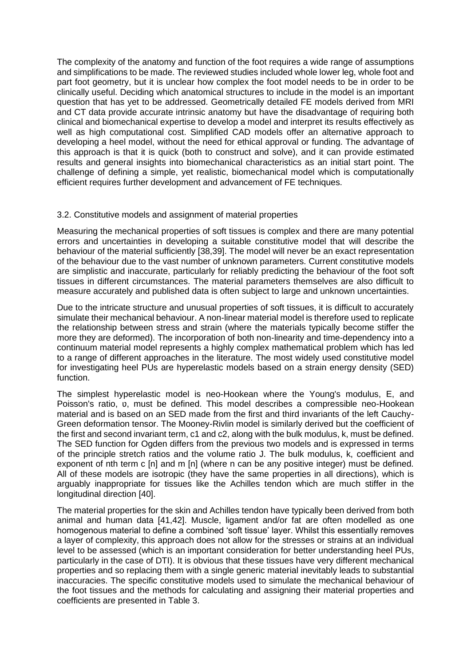The complexity of the anatomy and function of the foot requires a wide range of assumptions and simplifications to be made. The reviewed studies included whole lower leg, whole foot and part foot geometry, but it is unclear how complex the foot model needs to be in order to be clinically useful. Deciding which anatomical structures to include in the model is an important question that has yet to be addressed. Geometrically detailed FE models derived from MRI and CT data provide accurate intrinsic anatomy but have the disadvantage of requiring both clinical and biomechanical expertise to develop a model and interpret its results effectively as well as high computational cost. Simplified CAD models offer an alternative approach to developing a heel model, without the need for ethical approval or funding. The advantage of this approach is that it is quick (both to construct and solve), and it can provide estimated results and general insights into biomechanical characteristics as an initial start point. The challenge of defining a simple, yet realistic, biomechanical model which is computationally efficient requires further development and advancement of FE techniques.

#### 3.2. Constitutive models and assignment of material properties

Measuring the mechanical properties of soft tissues is complex and there are many potential errors and uncertainties in developing a suitable constitutive model that will describe the behaviour of the material sufficiently [38,39]. The model will never be an exact representation of the behaviour due to the vast number of unknown parameters. Current constitutive models are simplistic and inaccurate, particularly for reliably predicting the behaviour of the foot soft tissues in different circumstances. The material parameters themselves are also difficult to measure accurately and published data is often subject to large and unknown uncertainties.

Due to the intricate structure and unusual properties of soft tissues, it is difficult to accurately simulate their mechanical behaviour. A non-linear material model is therefore used to replicate the relationship between stress and strain (where the materials typically become stiffer the more they are deformed). The incorporation of both non-linearity and time-dependency into a continuum material model represents a highly complex mathematical problem which has led to a range of different approaches in the literature. The most widely used constitutive model for investigating heel PUs are hyperelastic models based on a strain energy density (SED) function.

The simplest hyperelastic model is neo-Hookean where the Young's modulus, E, and Poisson's ratio, p, must be defined. This model describes a compressible neo-Hookean material and is based on an SED made from the first and third invariants of the left Cauchy-Green deformation tensor. The Mooney-Rivlin model is similarly derived but the coefficient of the first and second invariant term, c1 and c2, along with the bulk modulus, k, must be defined. The SED function for Ogden differs from the previous two models and is expressed in terms of the principle stretch ratios and the volume ratio J. The bulk modulus, k, coefficient and exponent of nth term c [n] and m [n] (where n can be any positive integer) must be defined. All of these models are isotropic (they have the same properties in all directions), which is arguably inappropriate for tissues like the Achilles tendon which are much stiffer in the longitudinal direction [40].

The material properties for the skin and Achilles tendon have typically been derived from both animal and human data [41,42]. Muscle, ligament and/or fat are often modelled as one homogenous material to define a combined 'soft tissue' layer. Whilst this essentially removes a layer of complexity, this approach does not allow for the stresses or strains at an individual level to be assessed (which is an important consideration for better understanding heel PUs, particularly in the case of DTI). It is obvious that these tissues have very different mechanical properties and so replacing them with a single generic material inevitably leads to substantial inaccuracies. The specific constitutive models used to simulate the mechanical behaviour of the foot tissues and the methods for calculating and assigning their material properties and coefficients are presented in Table 3.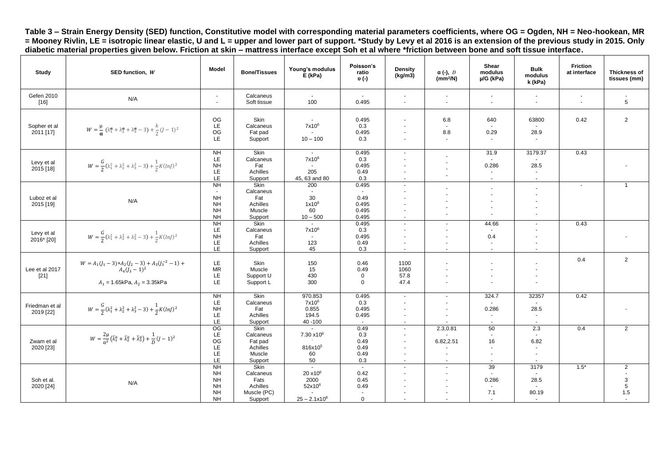**Table 3 – Strain Energy Density (SED) function, Constitutive model with corresponding material parameters coefficients, where OG = Ogden, NH = Neo-hookean, MR = Mooney Rivlin, LE = isotropic linear elastic, U and L = upper and lower part of support. \*Study by Levy et al 2016 is an extension of the previous study in 2015. Only diabetic material properties given below. Friction at skin – mattress interface except Soh et al where \*friction between bone and soft tissue interface.**

| Study                       | SED function, W                                                                                                     | <b>Model</b>                                                                                   | <b>Bone/Tissues</b>                                             | Young's modulus<br>$E$ (kPa)                                                    | Poisson's<br>ratio<br>υ (-)                   | Density<br>(kg/m3)                                                                                         | $\alpha$ (-), $D$<br>(mm <sup>2</sup> /N)                                                                      | Shear<br>modulus<br>$\mu$ /G (kPa)                                                         | <b>Bulk</b><br>modulus<br>k (kPa)                                        | <b>Friction</b><br>at interface         | <b>Thickness of</b><br>tissues (mm)                 |
|-----------------------------|---------------------------------------------------------------------------------------------------------------------|------------------------------------------------------------------------------------------------|-----------------------------------------------------------------|---------------------------------------------------------------------------------|-----------------------------------------------|------------------------------------------------------------------------------------------------------------|----------------------------------------------------------------------------------------------------------------|--------------------------------------------------------------------------------------------|--------------------------------------------------------------------------|-----------------------------------------|-----------------------------------------------------|
| Gefen 2010<br>$[16]$        | N/A                                                                                                                 | $\blacksquare$<br>$\blacksquare$                                                               | Calcaneus<br>Soft tissue                                        | $\sim$<br>100                                                                   | $\sim$<br>0.495                               | $\blacksquare$<br>$\sim$                                                                                   | $\blacksquare$<br>$\sim$                                                                                       | $\blacksquare$<br>$\sim$                                                                   | $\sim$<br>$\sim$                                                         | $\blacksquare$<br>$\tilde{\phantom{a}}$ | $\sim$<br>5                                         |
| Sopher et al<br>2011 [17]   | $W = \frac{\mu}{\alpha} (\lambda_1^{\alpha} + \lambda_2^{\alpha} + \lambda_3^{\alpha} - 3) + \frac{k}{2} (J - 1)^2$ | OG<br>LE<br>OG<br>LE                                                                           | Skin<br>Calcaneus<br>Fat pad<br>Support                         | $\blacksquare$<br>7x10 <sup>6</sup><br>$10 - 100$                               | 0.495<br>0.3<br>0.495<br>0.3                  | $\blacksquare$                                                                                             | 6.8<br>$\sim$<br>8.8<br>$\sim$                                                                                 | 640<br>$\sim$<br>0.29<br>$\sim$                                                            | 63800<br>28.9<br>$\overline{\phantom{a}}$                                | 0.42                                    | $\overline{2}$                                      |
| Levy et al<br>2015 [18]     | $W = \frac{G}{2}(\lambda_1^2 + \lambda_2^2 + \lambda_3^2 - 3) + \frac{1}{2}K(lnJ)^2$                                | NH<br>LE<br><b>NH</b><br>LE<br>LE                                                              | Skin<br>Calcaneus<br>Fat<br>Achilles<br>Support                 | $\sim$ $-$<br>$7x10^6$<br>205<br>45, 63 and 80                                  | 0.495<br>0.3<br>0.495<br>0.49<br>0.3          | $\sim$<br>$\sim$<br>$\blacksquare$<br>$\sim$                                                               | ä,<br>$\blacksquare$<br>$\sim$                                                                                 | 31.9<br>$\sim$<br>0.286<br>$\sim$<br>$\sim$                                                | 3179.37<br>28.5<br>$\sim$<br>$\sim$                                      | 0.43                                    |                                                     |
| Luboz et al<br>2015 [19]    | N/A                                                                                                                 | $\overline{N}$<br>$\overline{\phantom{a}}$<br><b>NH</b><br><b>NH</b><br><b>NH</b><br><b>NH</b> | Skin<br>Calcaneus<br>Fat<br>Achilles<br>Muscle<br>Support       | 200<br>30<br>1x10 <sup>6</sup><br>60<br>$10 - 500$                              | 0.495<br>0.49<br>0.495<br>0.495<br>0.495      | $\sim$<br>$\overline{\phantom{a}}$<br>$\overline{a}$<br>$\sim$<br>$\blacksquare$                           | ٠<br>$\overline{\phantom{a}}$<br>ä,                                                                            | $\blacksquare$<br>$\sim$<br>$\overline{\phantom{a}}$<br>$\overline{\phantom{a}}$<br>$\sim$ | $\overline{\phantom{a}}$<br>$\sim$<br>$\sim$<br>$\overline{a}$<br>$\sim$ | $\overline{\phantom{a}}$                | $\mathbf{1}$                                        |
| Levy et al<br>2016* [20]    | $W = \frac{G}{2}(\lambda_1^2 + \lambda_2^2 + \lambda_3^2 - 3) + \frac{1}{2}K(lnJ)^2$                                | $\overline{H}$<br>LE<br><b>NH</b><br>LE<br>LE                                                  | Skin<br>Calcaneus<br>Fat<br>Achilles<br>Support                 | $\sim$<br>7x10 <sup>6</sup><br>123<br>45                                        | 0.495<br>0.3<br>0.495<br>0.49<br>0.3          | $\mathbf{r}$<br>$\blacksquare$<br>$\blacksquare$<br>$\sim$                                                 | $\mathbf{r}$<br>$\blacksquare$<br>$\blacksquare$<br>$\sim$                                                     | 44.66<br>$\sim$<br>0.4<br>$\sim$<br>$\sim$                                                 | $\sim$<br>$\sim$<br>$\sim$<br>$\overline{\phantom{a}}$<br>$\sim$         | 0.43                                    |                                                     |
| Lee et al 2017<br>$[21]$    | $W=A_1(J_1-3)+A_2(J_2-3)+A_3(J_3^{-2}-1)+\\ A_4(J_3-1)^2$<br>$A_1 = 1.65$ kPa, $A_2 = 3.35$ kPa                     | LE<br><b>MR</b><br>LE<br>LE                                                                    | Skin<br>Muscle<br>Support U<br>Support L                        | 150<br>15<br>430<br>300                                                         | 0.46<br>0.49<br>$\mathbf 0$<br>$\mathbf 0$    | 1100<br>1060<br>57.8<br>47.4                                                                               | $\blacksquare$<br>ä,<br>$\blacksquare$<br>$\mathbf{r}$                                                         | $\sim$<br>$\overline{\phantom{a}}$<br>$\blacksquare$                                       | $\overline{\phantom{a}}$<br>$\sim$<br>$\overline{\phantom{a}}$           | 0.4                                     | $\overline{2}$                                      |
| Friedman et al<br>2019 [22] | $W = \frac{G}{2}(\lambda_1^2 + \lambda_2^2 + \lambda_3^2 - 3) + \frac{1}{2}K(lnJ)^2$                                | <b>NH</b><br>LE<br><b>NH</b><br>LE<br>LE                                                       | Skin<br>Calcaneus<br>Fat<br>Achilles<br>Support                 | 970.853<br>7x10 <sup>6</sup><br>0.855<br>194.5<br>40 - 100                      | 0.495<br>0.3<br>0.495<br>0.495                | $\blacksquare$<br>$\mathbf{r}$<br>$\blacksquare$<br>$\sim$<br>$\sim$                                       | $\mathbf{r}$<br>$\blacksquare$<br>ä,<br>$\blacksquare$                                                         | 324.7<br>$\sim$<br>0.286<br>$\sim$<br>$\sim$                                               | 32357<br>28.5<br>$\sim$<br>$\sim$                                        | 0.42                                    |                                                     |
| Zwam et al<br>2020 [23]     | $W = \frac{2\mu}{\alpha^2} (\bar{\lambda}_1^a + \bar{\lambda}_2^a + \bar{\lambda}_3^a) + \frac{1}{D} (J-1)^2$       | OG<br>LE<br>OG<br>LE<br>LE<br>LE                                                               | Skin<br>Calcaneus<br>Fat pad<br>Achilles<br>Muscle<br>Support   | 7.30 x10 <sup>6</sup><br>816x10 <sup>5</sup><br>60<br>50                        | 0.49<br>0.3<br>0.49<br>0.49<br>0.49<br>0.3    | $\blacksquare$<br>$\blacksquare$<br>$\overline{\phantom{a}}$<br>$\blacksquare$<br>$\blacksquare$<br>$\sim$ | 2.3,0.81<br>6.82,2.51<br>$\mathbf{r}$<br>$\sim$                                                                | 50<br>$\sim$<br>16<br>$\blacksquare$<br>$\sim$<br>$\sim$                                   | 2.3<br>$\overline{a}$<br>6.82<br>$\sim$<br>$\sim$<br>$\sim$              | 0.4                                     | 2                                                   |
| Soh et al.<br>2020 [24]     | N/A                                                                                                                 | $\overline{N}$<br><b>NH</b><br><b>NH</b><br><b>NH</b><br><b>NH</b><br><b>NH</b>                | Skin<br>Calcaneus<br>Fats<br>Achilles<br>Muscle (PC)<br>Support | $\sim$<br>20 x 10 <sup>6</sup><br>2000<br>52x10 <sup>6</sup><br>$25 - 2.1x10^8$ | $\sim$<br>0.42<br>0.45<br>0.49<br>$\mathbf 0$ | $\blacksquare$<br>$\overline{\phantom{a}}$<br>$\blacksquare$<br>$\blacksquare$<br>$\blacksquare$           | $\blacksquare$<br>$\overline{\phantom{a}}$<br>ä,<br>$\blacksquare$<br>$\mathbf{r}$<br>$\overline{\phantom{a}}$ | 39<br>$\omega$<br>0.286<br>$\sim$<br>7.1<br>$\overline{\phantom{a}}$                       | 3179<br>$\sim$<br>28.5<br>80.19                                          | $1.5*$                                  | $\overline{2}$<br>$\sim$<br>$\mathsf 3$<br>5<br>1.5 |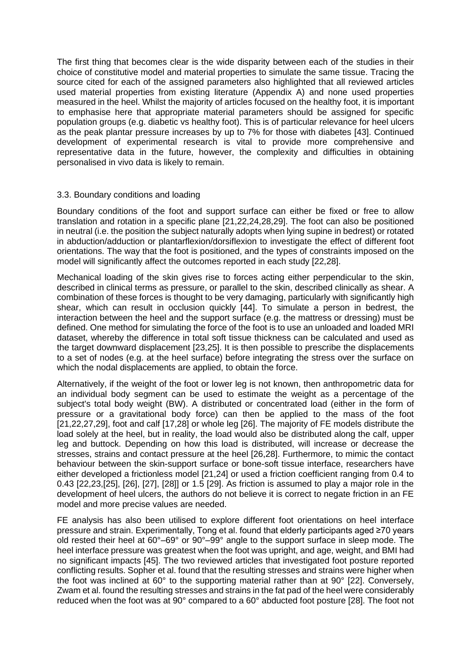The first thing that becomes clear is the wide disparity between each of the studies in their choice of constitutive model and material properties to simulate the same tissue. Tracing the source cited for each of the assigned parameters also highlighted that all reviewed articles used material properties from existing literature (Appendix A) and none used properties measured in the heel. Whilst the majority of articles focused on the healthy foot, it is important to emphasise here that appropriate material parameters should be assigned for specific population groups (e.g. diabetic vs healthy foot). This is of particular relevance for heel ulcers as the peak plantar pressure increases by up to 7% for those with diabetes [43]. Continued development of experimental research is vital to provide more comprehensive and representative data in the future, however, the complexity and difficulties in obtaining personalised in vivo data is likely to remain.

#### 3.3. Boundary conditions and loading

Boundary conditions of the foot and support surface can either be fixed or free to allow translation and rotation in a specific plane [21,22,24,28,29]. The foot can also be positioned in neutral (i.e. the position the subject naturally adopts when lying supine in bedrest) or rotated in abduction/adduction or plantarflexion/dorsiflexion to investigate the effect of different foot orientations. The way that the foot is positioned, and the types of constraints imposed on the model will significantly affect the outcomes reported in each study [22,28].

Mechanical loading of the skin gives rise to forces acting either perpendicular to the skin, described in clinical terms as pressure, or parallel to the skin, described clinically as shear. A combination of these forces is thought to be very damaging, particularly with significantly high shear, which can result in occlusion quickly [44]. To simulate a person in bedrest, the interaction between the heel and the support surface (e.g. the mattress or dressing) must be defined. One method for simulating the force of the foot is to use an unloaded and loaded MRI dataset, whereby the difference in total soft tissue thickness can be calculated and used as the target downward displacement [23,25]. It is then possible to prescribe the displacements to a set of nodes (e.g. at the heel surface) before integrating the stress over the surface on which the nodal displacements are applied, to obtain the force.

Alternatively, if the weight of the foot or lower leg is not known, then anthropometric data for an individual body segment can be used to estimate the weight as a percentage of the subject's total body weight (BW). A distributed or concentrated load (either in the form of pressure or a gravitational body force) can then be applied to the mass of the foot [21,22,27,29], foot and calf [17,28] or whole leg [26]. The majority of FE models distribute the load solely at the heel, but in reality, the load would also be distributed along the calf, upper leg and buttock. Depending on how this load is distributed, will increase or decrease the stresses, strains and contact pressure at the heel [26,28]. Furthermore, to mimic the contact behaviour between the skin-support surface or bone-soft tissue interface, researchers have either developed a frictionless model [21,24] or used a friction coefficient ranging from 0.4 to 0.43 [22,23,[25], [26], [27], [28]] or 1.5 [29]. As friction is assumed to play a major role in the development of heel ulcers, the authors do not believe it is correct to negate friction in an FE model and more precise values are needed.

FE analysis has also been utilised to explore different foot orientations on heel interface pressure and strain. Experimentally, Tong et al. found that elderly participants aged ≥70 years old rested their heel at 60°–69° or 90°–99° angle to the support surface in sleep mode. The heel interface pressure was greatest when the foot was upright, and age, weight, and BMI had no significant impacts [45]. The two reviewed articles that investigated foot posture reported conflicting results. Sopher et al. found that the resulting stresses and strains were higher when the foot was inclined at 60° to the supporting material rather than at 90° [22]. Conversely, Zwam et al. found the resulting stresses and strains in the fat pad of the heel were considerably reduced when the foot was at 90° compared to a 60° abducted foot posture [28]. The foot not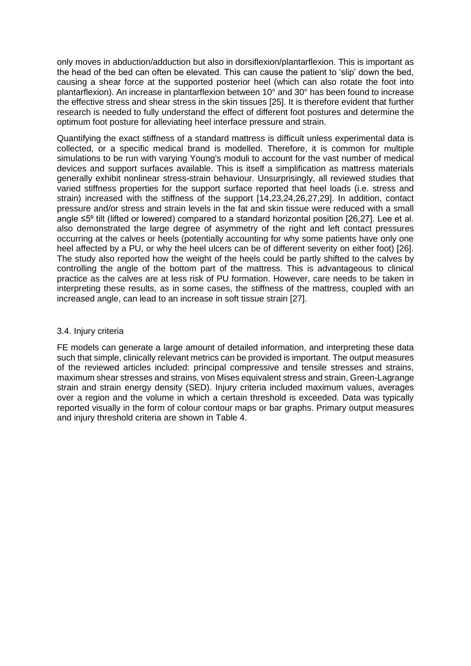only moves in abduction/adduction but also in dorsiflexion/plantarflexion. This is important as the head of the bed can often be elevated. This can cause the patient to 'slip' down the bed, causing a shear force at the supported posterior heel (which can also rotate the foot into plantarflexion). An increase in plantarflexion between 10° and 30° has been found to increase the effective stress and shear stress in the skin tissues [25]. It is therefore evident that further research is needed to fully understand the effect of different foot postures and determine the optimum foot posture for alleviating heel interface pressure and strain.

Quantifying the exact stiffness of a standard mattress is difficult unless experimental data is collected, or a specific medical brand is modelled. Therefore, it is common for multiple simulations to be run with varying Young's moduli to account for the vast number of medical devices and support surfaces available. This is itself a simplification as mattress materials generally exhibit nonlinear stress-strain behaviour. Unsurprisingly, all reviewed studies that varied stiffness properties for the support surface reported that heel loads (i.e. stress and strain) increased with the stiffness of the support [14,23,24,26,27,29]. In addition, contact pressure and/or stress and strain levels in the fat and skin tissue were reduced with a small angle  $\leq 5^\circ$  tilt (lifted or lowered) compared to a standard horizontal position [26,27]. Lee et al. also demonstrated the large degree of asymmetry of the right and left contact pressures occurring at the calves or heels (potentially accounting for why some patients have only one heel affected by a PU, or why the heel ulcers can be of different severity on either foot) [26]. The study also reported how the weight of the heels could be partly shifted to the calves by controlling the angle of the bottom part of the mattress. This is advantageous to clinical practice as the calves are at less risk of PU formation. However, care needs to be taken in interpreting these results, as in some cases, the stiffness of the mattress, coupled with an increased angle, can lead to an increase in soft tissue strain [27].

#### 3.4. Injury criteria

FE models can generate a large amount of detailed information, and interpreting these data such that simple, clinically relevant metrics can be provided is important. The output measures of the reviewed articles included: principal compressive and tensile stresses and strains, maximum shear stresses and strains, von Mises equivalent stress and strain, Green-Lagrange strain and strain energy density (SED). Injury criteria included maximum values, averages over a region and the volume in which a certain threshold is exceeded. Data was typically reported visually in the form of colour contour maps or bar graphs. Primary output measures and injury threshold criteria are shown in Table 4.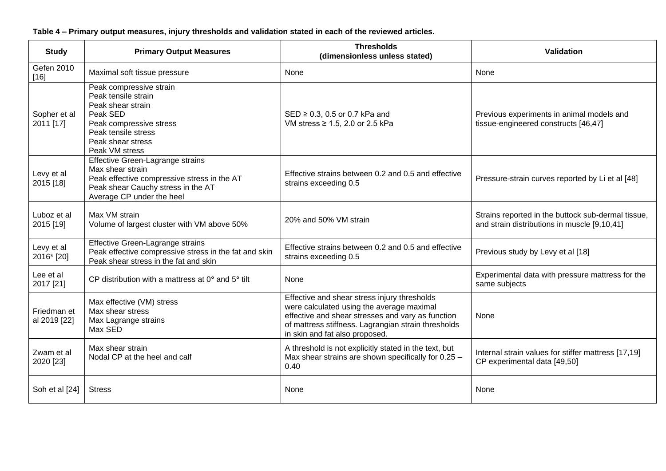| <b>Study</b>                | <b>Primary Output Measures</b>                                                                                                                                           | <b>Thresholds</b><br>(dimensionless unless stated)                                                                                                                                                                                      | Validation                                                                                         |
|-----------------------------|--------------------------------------------------------------------------------------------------------------------------------------------------------------------------|-----------------------------------------------------------------------------------------------------------------------------------------------------------------------------------------------------------------------------------------|----------------------------------------------------------------------------------------------------|
| Gefen 2010<br>$[16]$        | Maximal soft tissue pressure                                                                                                                                             | None                                                                                                                                                                                                                                    | None                                                                                               |
| Sopher et al<br>2011 [17]   | Peak compressive strain<br>Peak tensile strain<br>Peak shear strain<br>Peak SED<br>Peak compressive stress<br>Peak tensile stress<br>Peak shear stress<br>Peak VM stress | $SED \ge 0.3$ , 0.5 or 0.7 kPa and<br>VM stress $\geq 1.5$ , 2.0 or 2.5 kPa                                                                                                                                                             | Previous experiments in animal models and<br>tissue-engineered constructs [46,47]                  |
| Levy et al<br>2015 [18]     | Effective Green-Lagrange strains<br>Max shear strain<br>Peak effective compressive stress in the AT<br>Peak shear Cauchy stress in the AT<br>Average CP under the heel   | Effective strains between 0.2 and 0.5 and effective<br>strains exceeding 0.5                                                                                                                                                            | Pressure-strain curves reported by Li et al [48]                                                   |
| Luboz et al<br>2015 [19]    | Max VM strain<br>Volume of largest cluster with VM above 50%                                                                                                             | 20% and 50% VM strain                                                                                                                                                                                                                   | Strains reported in the buttock sub-dermal tissue,<br>and strain distributions in muscle [9,10,41] |
| Levy et al<br>2016* [20]    | <b>Effective Green-Lagrange strains</b><br>Peak effective compressive stress in the fat and skin<br>Peak shear stress in the fat and skin                                | Effective strains between 0.2 and 0.5 and effective<br>strains exceeding 0.5                                                                                                                                                            | Previous study by Levy et al [18]                                                                  |
| Lee et al<br>2017 [21]      | CP distribution with a mattress at 0° and 5° tilt                                                                                                                        | None                                                                                                                                                                                                                                    | Experimental data with pressure mattress for the<br>same subjects                                  |
| Friedman et<br>al 2019 [22] | Max effective (VM) stress<br>Max shear stress<br>Max Lagrange strains<br>Max SED                                                                                         | Effective and shear stress injury thresholds<br>were calculated using the average maximal<br>effective and shear stresses and vary as function<br>of mattress stiffness. Lagrangian strain thresholds<br>in skin and fat also proposed. | None                                                                                               |
| Zwam et al<br>2020 [23]     | Max shear strain<br>Nodal CP at the heel and calf                                                                                                                        | A threshold is not explicitly stated in the text, but<br>Max shear strains are shown specifically for 0.25 -<br>0.40                                                                                                                    | Internal strain values for stiffer mattress [17,19]<br>CP experimental data [49,50]                |
| Soh et al [24]              | <b>Stress</b>                                                                                                                                                            | None                                                                                                                                                                                                                                    | None                                                                                               |

**Table 4 – Primary output measures, injury thresholds and validation stated in each of the reviewed articles.**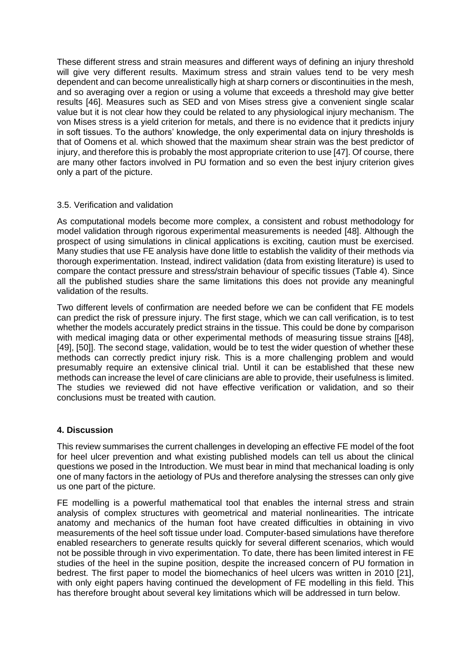These different stress and strain measures and different ways of defining an injury threshold will give very different results. Maximum stress and strain values tend to be very mesh dependent and can become unrealistically high at sharp corners or discontinuities in the mesh, and so averaging over a region or using a volume that exceeds a threshold may give better results [46]. Measures such as SED and von Mises stress give a convenient single scalar value but it is not clear how they could be related to any physiological injury mechanism. The von Mises stress is a yield criterion for metals, and there is no evidence that it predicts injury in soft tissues. To the authors' knowledge, the only experimental data on injury thresholds is that of Oomens et al. which showed that the maximum shear strain was the best predictor of injury, and therefore this is probably the most appropriate criterion to use [47]. Of course, there are many other factors involved in PU formation and so even the best injury criterion gives only a part of the picture.

#### 3.5. Verification and validation

As computational models become more complex, a consistent and robust methodology for model validation through rigorous experimental measurements is needed [48]. Although the prospect of using simulations in clinical applications is exciting, caution must be exercised. Many studies that use FE analysis have done little to establish the validity of their methods via thorough experimentation. Instead, indirect validation (data from existing literature) is used to compare the contact pressure and stress/strain behaviour of specific tissues (Table 4). Since all the published studies share the same limitations this does not provide any meaningful validation of the results.

Two different levels of confirmation are needed before we can be confident that FE models can predict the risk of pressure injury. The first stage, which we can call verification, is to test whether the models accurately predict strains in the tissue. This could be done by comparison with medical imaging data or other experimental methods of measuring tissue strains [[48], [49], [50]]. The second stage, validation, would be to test the wider question of whether these methods can correctly predict injury risk. This is a more challenging problem and would presumably require an extensive clinical trial. Until it can be established that these new methods can increase the level of care clinicians are able to provide, their usefulness is limited. The studies we reviewed did not have effective verification or validation, and so their conclusions must be treated with caution.

# **4. Discussion**

This review summarises the current challenges in developing an effective FE model of the foot for heel ulcer prevention and what existing published models can tell us about the clinical questions we posed in the Introduction. We must bear in mind that mechanical loading is only one of many factors in the aetiology of PUs and therefore analysing the stresses can only give us one part of the picture.

FE modelling is a powerful mathematical tool that enables the internal stress and strain analysis of complex structures with geometrical and material nonlinearities. The intricate anatomy and mechanics of the human foot have created difficulties in obtaining in vivo measurements of the heel soft tissue under load. Computer-based simulations have therefore enabled researchers to generate results quickly for several different scenarios, which would not be possible through in vivo experimentation. To date, there has been limited interest in FE studies of the heel in the supine position, despite the increased concern of PU formation in bedrest. The first paper to model the biomechanics of heel ulcers was written in 2010 [21], with only eight papers having continued the development of FE modelling in this field. This has therefore brought about several key limitations which will be addressed in turn below.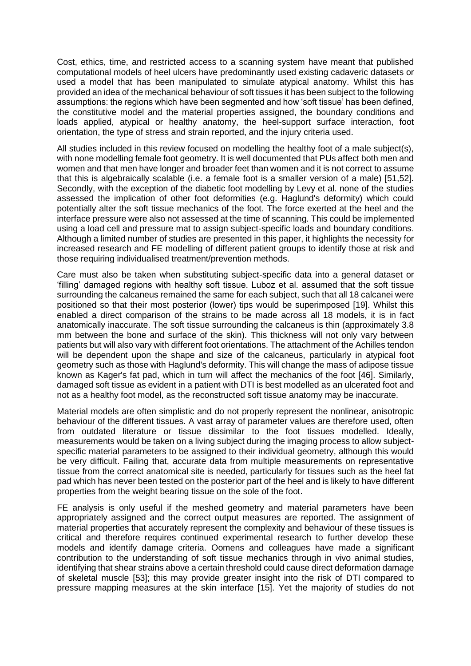Cost, ethics, time, and restricted access to a scanning system have meant that published computational models of heel ulcers have predominantly used existing cadaveric datasets or used a model that has been manipulated to simulate atypical anatomy. Whilst this has provided an idea of the mechanical behaviour of soft tissues it has been subject to the following assumptions: the regions which have been segmented and how 'soft tissue' has been defined, the constitutive model and the material properties assigned, the boundary conditions and loads applied, atypical or healthy anatomy, the heel-support surface interaction, foot orientation, the type of stress and strain reported, and the injury criteria used.

All studies included in this review focused on modelling the healthy foot of a male subject(s), with none modelling female foot geometry. It is well documented that PUs affect both men and women and that men have longer and broader feet than women and it is not correct to assume that this is algebraically scalable (i.e. a female foot is a smaller version of a male) [51,52]. Secondly, with the exception of the diabetic foot modelling by Levy et al. none of the studies assessed the implication of other foot deformities (e.g. Haglund's deformity) which could potentially alter the soft tissue mechanics of the foot. The force exerted at the heel and the interface pressure were also not assessed at the time of scanning. This could be implemented using a load cell and pressure mat to assign subject-specific loads and boundary conditions. Although a limited number of studies are presented in this paper, it highlights the necessity for increased research and FE modelling of different patient groups to identify those at risk and those requiring individualised treatment/prevention methods.

Care must also be taken when substituting subject-specific data into a general dataset or 'filling' damaged regions with healthy soft tissue. Luboz et al. assumed that the soft tissue surrounding the calcaneus remained the same for each subject, such that all 18 calcanei were positioned so that their most posterior (lower) tips would be superimposed [19]. Whilst this enabled a direct comparison of the strains to be made across all 18 models, it is in fact anatomically inaccurate. The soft tissue surrounding the calcaneus is thin (approximately 3.8 mm between the bone and surface of the skin). This thickness will not only vary between patients but will also vary with different foot orientations. The attachment of the Achilles tendon will be dependent upon the shape and size of the calcaneus, particularly in atypical foot geometry such as those with Haglund's deformity. This will change the mass of adipose tissue known as Kager's fat pad, which in turn will affect the mechanics of the foot [46]. Similarly, damaged soft tissue as evident in a patient with DTI is best modelled as an ulcerated foot and not as a healthy foot model, as the reconstructed soft tissue anatomy may be inaccurate.

Material models are often simplistic and do not properly represent the nonlinear, anisotropic behaviour of the different tissues. A vast array of parameter values are therefore used, often from outdated literature or tissue dissimilar to the foot tissues modelled. Ideally, measurements would be taken on a living subject during the imaging process to allow subjectspecific material parameters to be assigned to their individual geometry, although this would be very difficult. Failing that, accurate data from multiple measurements on representative tissue from the correct anatomical site is needed, particularly for tissues such as the heel fat pad which has never been tested on the posterior part of the heel and is likely to have different properties from the weight bearing tissue on the sole of the foot.

FE analysis is only useful if the meshed geometry and material parameters have been appropriately assigned and the correct output measures are reported. The assignment of material properties that accurately represent the complexity and behaviour of these tissues is critical and therefore requires continued experimental research to further develop these models and identify damage criteria. Oomens and colleagues have made a significant contribution to the understanding of soft tissue mechanics through in vivo animal studies, identifying that shear strains above a certain threshold could cause direct deformation damage of skeletal muscle [53]; this may provide greater insight into the risk of DTI compared to pressure mapping measures at the skin interface [15]. Yet the majority of studies do not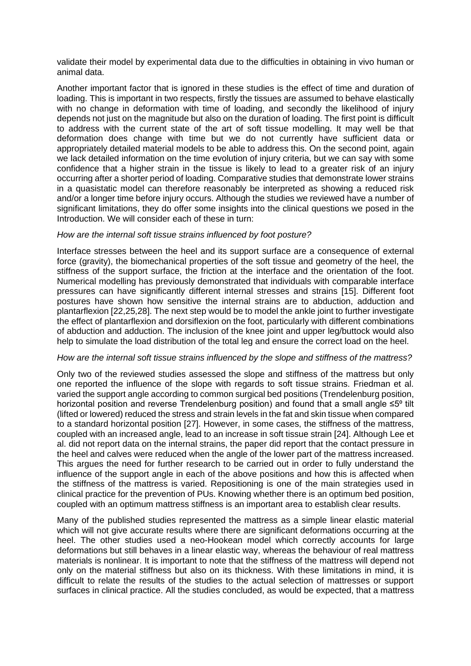validate their model by experimental data due to the difficulties in obtaining in vivo human or animal data.

Another important factor that is ignored in these studies is the effect of time and duration of loading. This is important in two respects, firstly the tissues are assumed to behave elastically with no change in deformation with time of loading, and secondly the likelihood of injury depends not just on the magnitude but also on the duration of loading. The first point is difficult to address with the current state of the art of soft tissue modelling. It may well be that deformation does change with time but we do not currently have sufficient data or appropriately detailed material models to be able to address this. On the second point, again we lack detailed information on the time evolution of injury criteria, but we can say with some confidence that a higher strain in the tissue is likely to lead to a greater risk of an injury occurring after a shorter period of loading. Comparative studies that demonstrate lower strains in a quasistatic model can therefore reasonably be interpreted as showing a reduced risk and/or a longer time before injury occurs. Although the studies we reviewed have a number of significant limitations, they do offer some insights into the clinical questions we posed in the Introduction. We will consider each of these in turn:

#### *How are the internal soft tissue strains influenced by foot posture?*

Interface stresses between the heel and its support surface are a consequence of external force (gravity), the biomechanical properties of the soft tissue and geometry of the heel, the stiffness of the support surface, the friction at the interface and the orientation of the foot. Numerical modelling has previously demonstrated that individuals with comparable interface pressures can have significantly different internal stresses and strains [15]. Different foot postures have shown how sensitive the internal strains are to abduction, adduction and plantarflexion [22,25,28]. The next step would be to model the ankle joint to further investigate the effect of plantarflexion and dorsiflexion on the foot, particularly with different combinations of abduction and adduction. The inclusion of the knee joint and upper leg/buttock would also help to simulate the load distribution of the total leg and ensure the correct load on the heel.

#### *How are the internal soft tissue strains influenced by the slope and stiffness of the mattress?*

Only two of the reviewed studies assessed the slope and stiffness of the mattress but only one reported the influence of the slope with regards to soft tissue strains. Friedman et al. varied the support angle according to common surgical bed positions (Trendelenburg position, horizontal position and reverse Trendelenburg position) and found that a small angle  $\leq 5^\circ$  tilt (lifted or lowered) reduced the stress and strain levels in the fat and skin tissue when compared to a standard horizontal position [27]. However, in some cases, the stiffness of the mattress, coupled with an increased angle, lead to an increase in soft tissue strain [24]. Although Lee et al. did not report data on the internal strains, the paper did report that the contact pressure in the heel and calves were reduced when the angle of the lower part of the mattress increased. This argues the need for further research to be carried out in order to fully understand the influence of the support angle in each of the above positions and how this is affected when the stiffness of the mattress is varied. Repositioning is one of the main strategies used in clinical practice for the prevention of PUs. Knowing whether there is an optimum bed position, coupled with an optimum mattress stiffness is an important area to establish clear results.

Many of the published studies represented the mattress as a simple linear elastic material which will not give accurate results where there are significant deformations occurring at the heel. The other studies used a neo-Hookean model which correctly accounts for large deformations but still behaves in a linear elastic way, whereas the behaviour of real mattress materials is nonlinear. It is important to note that the stiffness of the mattress will depend not only on the material stiffness but also on its thickness. With these limitations in mind, it is difficult to relate the results of the studies to the actual selection of mattresses or support surfaces in clinical practice. All the studies concluded, as would be expected, that a mattress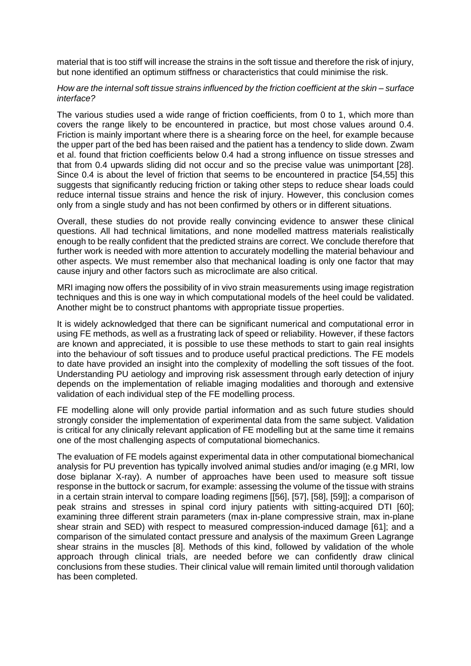material that is too stiff will increase the strains in the soft tissue and therefore the risk of injury, but none identified an optimum stiffness or characteristics that could minimise the risk.

#### *How are the internal soft tissue strains influenced by the friction coefficient at the skin – surface interface?*

The various studies used a wide range of friction coefficients, from 0 to 1, which more than covers the range likely to be encountered in practice, but most chose values around 0.4. Friction is mainly important where there is a shearing force on the heel, for example because the upper part of the bed has been raised and the patient has a tendency to slide down. Zwam et al. found that friction coefficients below 0.4 had a strong influence on tissue stresses and that from 0.4 upwards sliding did not occur and so the precise value was unimportant [28]. Since 0.4 is about the level of friction that seems to be encountered in practice [54,55] this suggests that significantly reducing friction or taking other steps to reduce shear loads could reduce internal tissue strains and hence the risk of injury. However, this conclusion comes only from a single study and has not been confirmed by others or in different situations.

Overall, these studies do not provide really convincing evidence to answer these clinical questions. All had technical limitations, and none modelled mattress materials realistically enough to be really confident that the predicted strains are correct. We conclude therefore that further work is needed with more attention to accurately modelling the material behaviour and other aspects. We must remember also that mechanical loading is only one factor that may cause injury and other factors such as microclimate are also critical.

MRI imaging now offers the possibility of in vivo strain measurements using image registration techniques and this is one way in which computational models of the heel could be validated. Another might be to construct phantoms with appropriate tissue properties.

It is widely acknowledged that there can be significant numerical and computational error in using FE methods, as well as a frustrating lack of speed or reliability. However, if these factors are known and appreciated, it is possible to use these methods to start to gain real insights into the behaviour of soft tissues and to produce useful practical predictions. The FE models to date have provided an insight into the complexity of modelling the soft tissues of the foot. Understanding PU aetiology and improving risk assessment through early detection of injury depends on the implementation of reliable imaging modalities and thorough and extensive validation of each individual step of the FE modelling process.

FE modelling alone will only provide partial information and as such future studies should strongly consider the implementation of experimental data from the same subject. Validation is critical for any clinically relevant application of FE modelling but at the same time it remains one of the most challenging aspects of computational biomechanics.

The evaluation of FE models against experimental data in other computational biomechanical analysis for PU prevention has typically involved animal studies and/or imaging (e.g MRI, low dose biplanar X-ray). A number of approaches have been used to measure soft tissue response in the buttock or sacrum, for example: assessing the volume of the tissue with strains in a certain strain interval to compare loading regimens [[56], [57], [58], [59]]; a comparison of peak strains and stresses in spinal cord injury patients with sitting-acquired DTI [60]; examining three different strain parameters (max in-plane compressive strain, max in-plane shear strain and SED) with respect to measured compression-induced damage [61]; and a comparison of the simulated contact pressure and analysis of the maximum Green Lagrange shear strains in the muscles [8]. Methods of this kind, followed by validation of the whole approach through clinical trials, are needed before we can confidently draw clinical conclusions from these studies. Their clinical value will remain limited until thorough validation has been completed.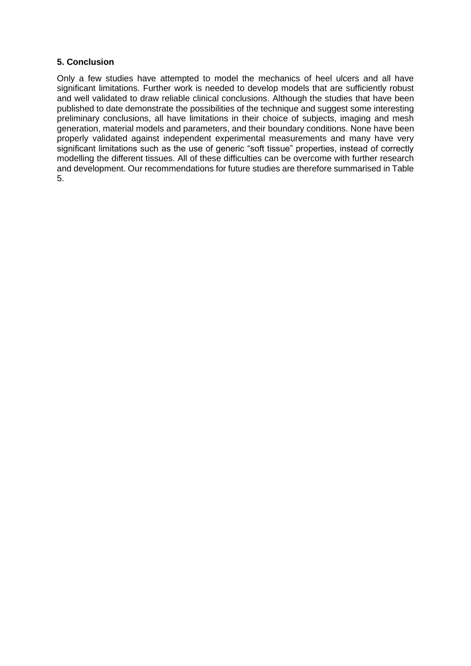# **5. Conclusion**

Only a few studies have attempted to model the mechanics of heel ulcers and all have significant limitations. Further work is needed to develop models that are sufficiently robust and well validated to draw reliable clinical conclusions. Although the studies that have been published to date demonstrate the possibilities of the technique and suggest some interesting preliminary conclusions, all have limitations in their choice of subjects, imaging and mesh generation, material models and parameters, and their boundary conditions. None have been properly validated against independent experimental measurements and many have very significant limitations such as the use of generic "soft tissue" properties, instead of correctly modelling the different tissues. All of these difficulties can be overcome with further research and development. Our recommendations for future studies are therefore summarised in Table 5.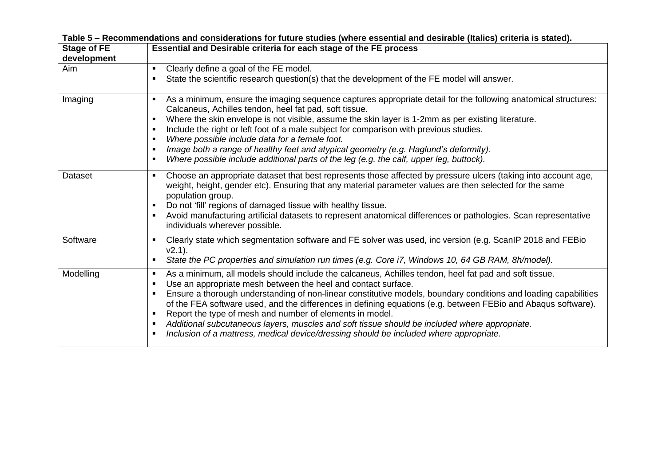| <b>Stage of FE</b> | Essential and Desirable criteria for each stage of the FE process                                                                                                                                                                                                                                                                                                                                                                                                                                                                                                                                                                                                                                                                                   |
|--------------------|-----------------------------------------------------------------------------------------------------------------------------------------------------------------------------------------------------------------------------------------------------------------------------------------------------------------------------------------------------------------------------------------------------------------------------------------------------------------------------------------------------------------------------------------------------------------------------------------------------------------------------------------------------------------------------------------------------------------------------------------------------|
| development        |                                                                                                                                                                                                                                                                                                                                                                                                                                                                                                                                                                                                                                                                                                                                                     |
| Aim                | Clearly define a goal of the FE model.<br>$\blacksquare$                                                                                                                                                                                                                                                                                                                                                                                                                                                                                                                                                                                                                                                                                            |
|                    | State the scientific research question(s) that the development of the FE model will answer.<br>٠                                                                                                                                                                                                                                                                                                                                                                                                                                                                                                                                                                                                                                                    |
| Imaging            | As a minimum, ensure the imaging sequence captures appropriate detail for the following anatomical structures:<br>$\blacksquare$<br>Calcaneus, Achilles tendon, heel fat pad, soft tissue.<br>Where the skin envelope is not visible, assume the skin layer is 1-2mm as per existing literature.<br>٠<br>Include the right or left foot of a male subject for comparison with previous studies.<br>$\blacksquare$<br>Where possible include data for a female foot.<br>$\blacksquare$<br>Image both a range of healthy feet and atypical geometry (e.g. Haglund's deformity).<br>п<br>Where possible include additional parts of the leg (e.g. the calf, upper leg, buttock).<br>$\blacksquare$                                                     |
| Dataset            | Choose an appropriate dataset that best represents those affected by pressure ulcers (taking into account age,<br>$\blacksquare$<br>weight, height, gender etc). Ensuring that any material parameter values are then selected for the same<br>population group.<br>Do not 'fill' regions of damaged tissue with healthy tissue.<br>٠<br>Avoid manufacturing artificial datasets to represent anatomical differences or pathologies. Scan representative<br>٠<br>individuals wherever possible.                                                                                                                                                                                                                                                     |
| Software           | Clearly state which segmentation software and FE solver was used, inc version (e.g. ScanIP 2018 and FEBio<br>$\blacksquare$<br>$v2.1$ ).<br>State the PC properties and simulation run times (e.g. Core i7, Windows 10, 64 GB RAM, 8h/model).<br>$\blacksquare$                                                                                                                                                                                                                                                                                                                                                                                                                                                                                     |
| Modelling          | As a minimum, all models should include the calcaneus, Achilles tendon, heel fat pad and soft tissue.<br>$\blacksquare$<br>Use an appropriate mesh between the heel and contact surface.<br>$\blacksquare$<br>Ensure a thorough understanding of non-linear constitutive models, boundary conditions and loading capabilities<br>$\blacksquare$<br>of the FEA software used, and the differences in defining equations (e.g. between FEBio and Abaqus software).<br>Report the type of mesh and number of elements in model.<br>$\blacksquare$<br>Additional subcutaneous layers, muscles and soft tissue should be included where appropriate.<br>٠<br>Inclusion of a mattress, medical device/dressing should be included where appropriate.<br>٠ |

**Table 5 – Recommendations and considerations for future studies (where essential and desirable (Italics) criteria is stated).**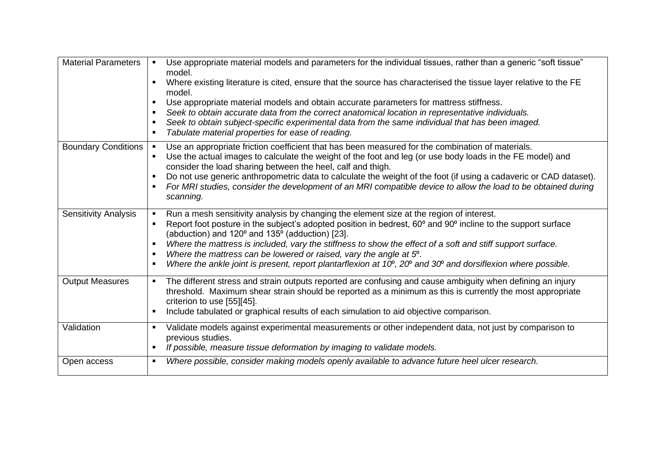| <b>Material Parameters</b>  | Use appropriate material models and parameters for the individual tissues, rather than a generic "soft tissue"<br>$\blacksquare$<br>model.                                                 |
|-----------------------------|--------------------------------------------------------------------------------------------------------------------------------------------------------------------------------------------|
|                             | Where existing literature is cited, ensure that the source has characterised the tissue layer relative to the FE<br>$\blacksquare$<br>model.                                               |
|                             | Use appropriate material models and obtain accurate parameters for mattress stiffness.                                                                                                     |
|                             | Seek to obtain accurate data from the correct anatomical location in representative individuals.                                                                                           |
|                             | Seek to obtain subject-specific experimental data from the same individual that has been imaged.<br>٠<br>Tabulate material properties for ease of reading.<br>$\blacksquare$               |
| <b>Boundary Conditions</b>  | Use an appropriate friction coefficient that has been measured for the combination of materials.<br>$\blacksquare$                                                                         |
|                             | Use the actual images to calculate the weight of the foot and leg (or use body loads in the FE model) and<br>$\blacksquare$<br>consider the load sharing between the heel, calf and thigh. |
|                             | Do not use generic anthropometric data to calculate the weight of the foot (if using a cadaveric or CAD dataset).                                                                          |
|                             | For MRI studies, consider the development of an MRI compatible device to allow the load to be obtained during<br>$\blacksquare$<br>scanning.                                               |
| <b>Sensitivity Analysis</b> | Run a mesh sensitivity analysis by changing the element size at the region of interest.                                                                                                    |
|                             | Report foot posture in the subject's adopted position in bedrest, 60° and 90° incline to the support surface<br>٠<br>(abduction) and 120° and 135° (adduction) [23].                       |
|                             | Where the mattress is included, vary the stiffness to show the effect of a soft and stiff support surface.<br>٠                                                                            |
|                             | Where the mattress can be lowered or raised, vary the angle at $5^\circ$ .<br>٠                                                                                                            |
|                             | Where the ankle joint is present, report plantarflexion at 10°, 20° and 30° and dorsiflexion where possible.                                                                               |
| <b>Output Measures</b>      | The different stress and strain outputs reported are confusing and cause ambiguity when defining an injury                                                                                 |
|                             | threshold. Maximum shear strain should be reported as a minimum as this is currently the most appropriate<br>criterion to use [55][45].                                                    |
|                             | Include tabulated or graphical results of each simulation to aid objective comparison.                                                                                                     |
| Validation                  |                                                                                                                                                                                            |
|                             | Validate models against experimental measurements or other independent data, not just by comparison to<br>٠<br>previous studies.                                                           |
|                             | If possible, measure tissue deformation by imaging to validate models.                                                                                                                     |
| Open access                 | Where possible, consider making models openly available to advance future heel ulcer research.<br>٠                                                                                        |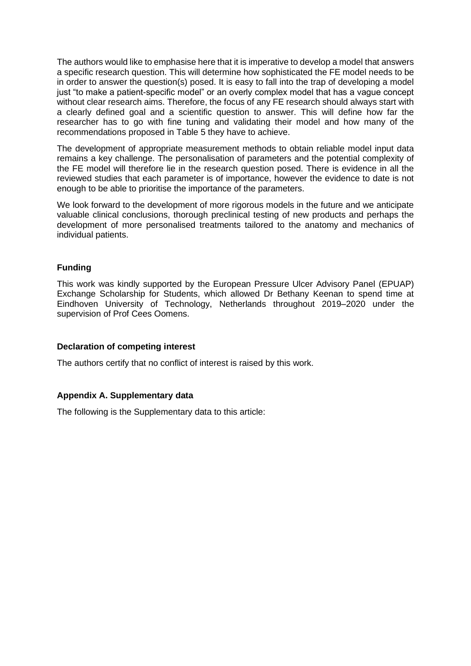The authors would like to emphasise here that it is imperative to develop a model that answers a specific research question. This will determine how sophisticated the FE model needs to be in order to answer the question(s) posed. It is easy to fall into the trap of developing a model just "to make a patient-specific model" or an overly complex model that has a vague concept without clear research aims. Therefore, the focus of any FE research should always start with a clearly defined goal and a scientific question to answer. This will define how far the researcher has to go with fine tuning and validating their model and how many of the recommendations proposed in Table 5 they have to achieve.

The development of appropriate measurement methods to obtain reliable model input data remains a key challenge. The personalisation of parameters and the potential complexity of the FE model will therefore lie in the research question posed. There is evidence in all the reviewed studies that each parameter is of importance, however the evidence to date is not enough to be able to prioritise the importance of the parameters.

We look forward to the development of more rigorous models in the future and we anticipate valuable clinical conclusions, thorough preclinical testing of new products and perhaps the development of more personalised treatments tailored to the anatomy and mechanics of individual patients.

# **Funding**

This work was kindly supported by the European Pressure Ulcer Advisory Panel (EPUAP) Exchange Scholarship for Students, which allowed Dr Bethany Keenan to spend time at Eindhoven University of Technology, Netherlands throughout 2019–2020 under the supervision of Prof Cees Oomens.

#### **Declaration of competing interest**

The authors certify that no conflict of interest is raised by this work.

# **Appendix A. Supplementary data**

The following is the Supplementary data to this article: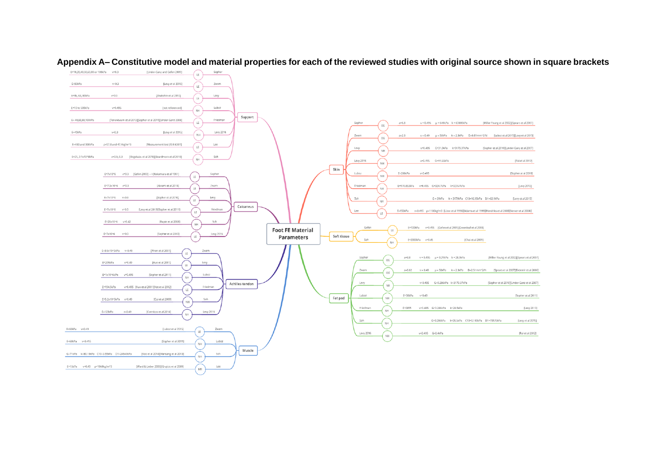

## **Appendix A– Constitutive model and material properties for each of the reviewed studies with original source shown in square brackets**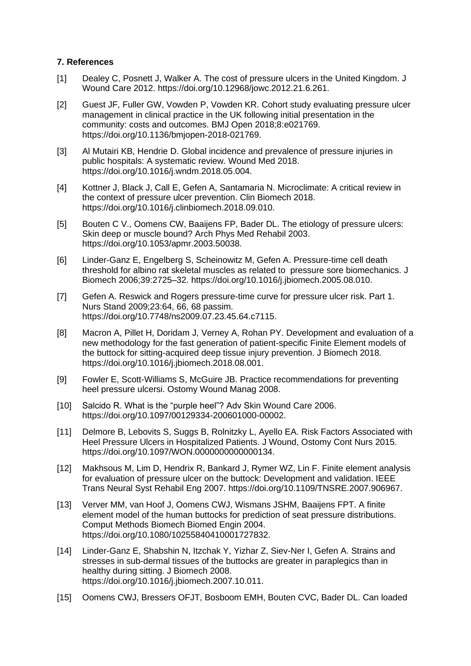# **7. References**

- [1] Dealey C, Posnett J, Walker A. The cost of pressure ulcers in the United Kingdom. J Wound Care 2012. https://doi.org/10.12968/jowc.2012.21.6.261.
- [2] Guest JF, Fuller GW, Vowden P, Vowden KR. Cohort study evaluating pressure ulcer management in clinical practice in the UK following initial presentation in the community: costs and outcomes. BMJ Open 2018;8:e021769. https://doi.org/10.1136/bmjopen-2018-021769.
- [3] Al Mutairi KB, Hendrie D. Global incidence and prevalence of pressure injuries in public hospitals: A systematic review. Wound Med 2018. https://doi.org/10.1016/j.wndm.2018.05.004.
- [4] Kottner J, Black J, Call E, Gefen A, Santamaria N. Microclimate: A critical review in the context of pressure ulcer prevention. Clin Biomech 2018. https://doi.org/10.1016/j.clinbiomech.2018.09.010.
- [5] Bouten C V., Oomens CW, Baaijens FP, Bader DL. The etiology of pressure ulcers: Skin deep or muscle bound? Arch Phys Med Rehabil 2003. https://doi.org/10.1053/apmr.2003.50038.
- [6] Linder-Ganz E, Engelberg S, Scheinowitz M, Gefen A. Pressure-time cell death threshold for albino rat skeletal muscles as related to pressure sore biomechanics. J Biomech 2006;39:2725–32. https://doi.org/10.1016/j.jbiomech.2005.08.010.
- [7] Gefen A. Reswick and Rogers pressure-time curve for pressure ulcer risk. Part 1. Nurs Stand 2009;23:64, 66, 68 passim. https://doi.org/10.7748/ns2009.07.23.45.64.c7115.
- [8] Macron A, Pillet H, Doridam J, Verney A, Rohan PY. Development and evaluation of a new methodology for the fast generation of patient-specific Finite Element models of the buttock for sitting-acquired deep tissue injury prevention. J Biomech 2018. https://doi.org/10.1016/j.jbiomech.2018.08.001.
- [9] Fowler E, Scott-Williams S, McGuire JB. Practice recommendations for preventing heel pressure ulcersi. Ostomy Wound Manag 2008.
- [10] Salcido R. What is the "purple heel"? Adv Skin Wound Care 2006. https://doi.org/10.1097/00129334-200601000-00002.
- [11] Delmore B, Lebovits S, Suggs B, Rolnitzky L, Ayello EA. Risk Factors Associated with Heel Pressure Ulcers in Hospitalized Patients. J Wound, Ostomy Cont Nurs 2015. https://doi.org/10.1097/WON.0000000000000134.
- [12] Makhsous M, Lim D, Hendrix R, Bankard J, Rymer WZ, Lin F. Finite element analysis for evaluation of pressure ulcer on the buttock: Development and validation. IEEE Trans Neural Syst Rehabil Eng 2007. https://doi.org/10.1109/TNSRE.2007.906967.
- [13] Verver MM, van Hoof J, Oomens CWJ, Wismans JSHM, Baaijens FPT. A finite element model of the human buttocks for prediction of seat pressure distributions. Comput Methods Biomech Biomed Engin 2004. https://doi.org/10.1080/10255840410001727832.
- [14] Linder-Ganz E, Shabshin N, Itzchak Y, Yizhar Z, Siev-Ner I, Gefen A. Strains and stresses in sub-dermal tissues of the buttocks are greater in paraplegics than in healthy during sitting. J Biomech 2008. https://doi.org/10.1016/j.jbiomech.2007.10.011.
- [15] Oomens CWJ, Bressers OFJT, Bosboom EMH, Bouten CVC, Bader DL. Can loaded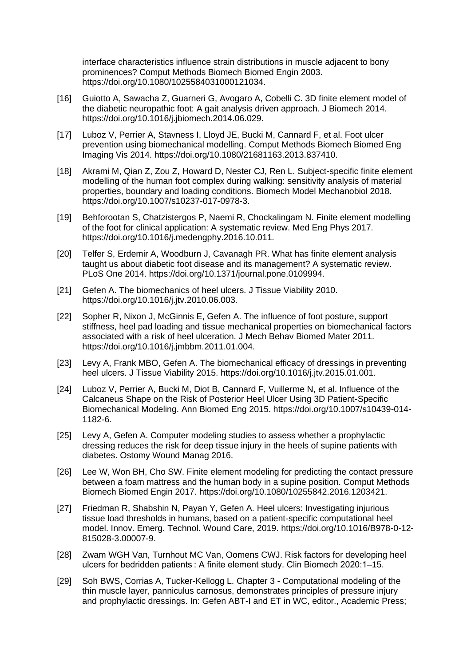interface characteristics influence strain distributions in muscle adjacent to bony prominences? Comput Methods Biomech Biomed Engin 2003. https://doi.org/10.1080/1025584031000121034.

- [16] Guiotto A, Sawacha Z, Guarneri G, Avogaro A, Cobelli C. 3D finite element model of the diabetic neuropathic foot: A gait analysis driven approach. J Biomech 2014. https://doi.org/10.1016/j.jbiomech.2014.06.029.
- [17] Luboz V, Perrier A, Stavness I, Lloyd JE, Bucki M, Cannard F, et al. Foot ulcer prevention using biomechanical modelling. Comput Methods Biomech Biomed Eng Imaging Vis 2014. https://doi.org/10.1080/21681163.2013.837410.
- [18] Akrami M, Qian Z, Zou Z, Howard D, Nester CJ, Ren L. Subject-specific finite element modelling of the human foot complex during walking: sensitivity analysis of material properties, boundary and loading conditions. Biomech Model Mechanobiol 2018. https://doi.org/10.1007/s10237-017-0978-3.
- [19] Behforootan S, Chatzistergos P, Naemi R, Chockalingam N. Finite element modelling of the foot for clinical application: A systematic review. Med Eng Phys 2017. https://doi.org/10.1016/j.medengphy.2016.10.011.
- [20] Telfer S, Erdemir A, Woodburn J, Cavanagh PR. What has finite element analysis taught us about diabetic foot disease and its management? A systematic review. PLoS One 2014. https://doi.org/10.1371/journal.pone.0109994.
- [21] Gefen A. The biomechanics of heel ulcers. J Tissue Viability 2010. https://doi.org/10.1016/j.jtv.2010.06.003.
- [22] Sopher R, Nixon J, McGinnis E, Gefen A. The influence of foot posture, support stiffness, heel pad loading and tissue mechanical properties on biomechanical factors associated with a risk of heel ulceration. J Mech Behav Biomed Mater 2011. https://doi.org/10.1016/j.jmbbm.2011.01.004.
- [23] Levy A, Frank MBO, Gefen A. The biomechanical efficacy of dressings in preventing heel ulcers. J Tissue Viability 2015. https://doi.org/10.1016/j.jtv.2015.01.001.
- [24] Luboz V, Perrier A, Bucki M, Diot B, Cannard F, Vuillerme N, et al. Influence of the Calcaneus Shape on the Risk of Posterior Heel Ulcer Using 3D Patient-Specific Biomechanical Modeling. Ann Biomed Eng 2015. https://doi.org/10.1007/s10439-014- 1182-6.
- [25] Levy A, Gefen A. Computer modeling studies to assess whether a prophylactic dressing reduces the risk for deep tissue injury in the heels of supine patients with diabetes. Ostomy Wound Manag 2016.
- [26] Lee W, Won BH, Cho SW. Finite element modeling for predicting the contact pressure between a foam mattress and the human body in a supine position. Comput Methods Biomech Biomed Engin 2017. https://doi.org/10.1080/10255842.2016.1203421.
- [27] Friedman R, Shabshin N, Payan Y, Gefen A. Heel ulcers: Investigating injurious tissue load thresholds in humans, based on a patient-specific computational heel model. Innov. Emerg. Technol. Wound Care, 2019. https://doi.org/10.1016/B978-0-12- 815028-3.00007-9.
- [28] Zwam WGH Van, Turnhout MC Van, Oomens CWJ. Risk factors for developing heel ulcers for bedridden patients : A finite element study. Clin Biomech 2020:1–15.
- [29] Soh BWS, Corrias A, Tucker-Kellogg L. Chapter 3 Computational modeling of the thin muscle layer, panniculus carnosus, demonstrates principles of pressure injury and prophylactic dressings. In: Gefen ABT-I and ET in WC, editor., Academic Press;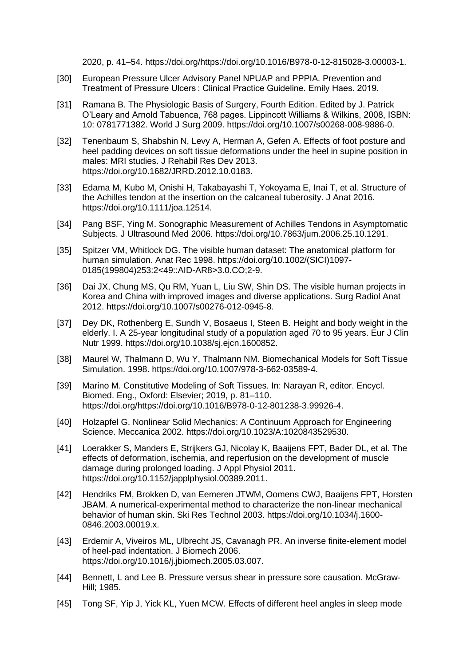2020, p. 41–54. https://doi.org/https://doi.org/10.1016/B978-0-12-815028-3.00003-1.

- [30] European Pressure Ulcer Advisory Panel NPUAP and PPPIA. Prevention and Treatment of Pressure Ulcers : Clinical Practice Guideline. Emily Haes. 2019.
- [31] Ramana B. The Physiologic Basis of Surgery, Fourth Edition. Edited by J. Patrick O'Leary and Arnold Tabuenca, 768 pages. Lippincott Williams & Wilkins, 2008, ISBN: 10: 0781771382. World J Surg 2009. https://doi.org/10.1007/s00268-008-9886-0.
- [32] Tenenbaum S, Shabshin N, Levy A, Herman A, Gefen A. Effects of foot posture and heel padding devices on soft tissue deformations under the heel in supine position in males: MRI studies. J Rehabil Res Dev 2013. https://doi.org/10.1682/JRRD.2012.10.0183.
- [33] Edama M, Kubo M, Onishi H, Takabayashi T, Yokoyama E, Inai T, et al. Structure of the Achilles tendon at the insertion on the calcaneal tuberosity. J Anat 2016. https://doi.org/10.1111/joa.12514.
- [34] Pang BSF, Ying M. Sonographic Measurement of Achilles Tendons in Asymptomatic Subjects. J Ultrasound Med 2006. https://doi.org/10.7863/jum.2006.25.10.1291.
- [35] Spitzer VM, Whitlock DG. The visible human dataset: The anatomical platform for human simulation. Anat Rec 1998. https://doi.org/10.1002/(SICI)1097- 0185(199804)253:2<49::AID-AR8>3.0.CO;2-9.
- [36] Dai JX, Chung MS, Qu RM, Yuan L, Liu SW, Shin DS. The visible human projects in Korea and China with improved images and diverse applications. Surg Radiol Anat 2012. https://doi.org/10.1007/s00276-012-0945-8.
- [37] Dey DK, Rothenberg E, Sundh V, Bosaeus I, Steen B. Height and body weight in the elderly. I. A 25-year longitudinal study of a population aged 70 to 95 years. Eur J Clin Nutr 1999. https://doi.org/10.1038/sj.ejcn.1600852.
- [38] Maurel W, Thalmann D, Wu Y, Thalmann NM. Biomechanical Models for Soft Tissue Simulation. 1998. https://doi.org/10.1007/978-3-662-03589-4.
- [39] Marino M. Constitutive Modeling of Soft Tissues. In: Narayan R, editor. Encycl. Biomed. Eng., Oxford: Elsevier; 2019, p. 81–110. https://doi.org/https://doi.org/10.1016/B978-0-12-801238-3.99926-4.
- [40] Holzapfel G. Nonlinear Solid Mechanics: A Continuum Approach for Engineering Science. Meccanica 2002. https://doi.org/10.1023/A:1020843529530.
- [41] Loerakker S, Manders E, Strijkers GJ, Nicolay K, Baaijens FPT, Bader DL, et al. The effects of deformation, ischemia, and reperfusion on the development of muscle damage during prolonged loading. J Appl Physiol 2011. https://doi.org/10.1152/japplphysiol.00389.2011.
- [42] Hendriks FM, Brokken D, van Eemeren JTWM, Oomens CWJ, Baaijens FPT, Horsten JBAM. A numerical-experimental method to characterize the non-linear mechanical behavior of human skin. Ski Res Technol 2003. https://doi.org/10.1034/j.1600- 0846.2003.00019.x.
- [43] Erdemir A, Viveiros ML, Ulbrecht JS, Cavanagh PR. An inverse finite-element model of heel-pad indentation. J Biomech 2006. https://doi.org/10.1016/j.jbiomech.2005.03.007.
- [44] Bennett, L and Lee B. Pressure versus shear in pressure sore causation. McGraw-Hill; 1985.
- [45] Tong SF, Yip J, Yick KL, Yuen MCW. Effects of different heel angles in sleep mode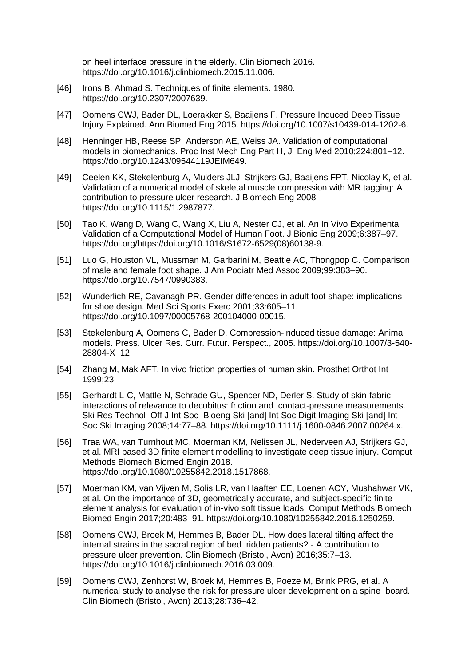on heel interface pressure in the elderly. Clin Biomech 2016. https://doi.org/10.1016/j.clinbiomech.2015.11.006.

- [46] Irons B, Ahmad S. Techniques of finite elements. 1980. https://doi.org/10.2307/2007639.
- [47] Oomens CWJ, Bader DL, Loerakker S, Baaijens F. Pressure Induced Deep Tissue Injury Explained. Ann Biomed Eng 2015. https://doi.org/10.1007/s10439-014-1202-6.
- [48] Henninger HB, Reese SP, Anderson AE, Weiss JA. Validation of computational models in biomechanics. Proc Inst Mech Eng Part H, J Eng Med 2010;224:801–12. https://doi.org/10.1243/09544119JEIM649.
- [49] Ceelen KK, Stekelenburg A, Mulders JLJ, Strijkers GJ, Baaijens FPT, Nicolay K, et al. Validation of a numerical model of skeletal muscle compression with MR tagging: A contribution to pressure ulcer research. J Biomech Eng 2008. https://doi.org/10.1115/1.2987877.
- [50] Tao K, Wang D, Wang C, Wang X, Liu A, Nester CJ, et al. An In Vivo Experimental Validation of a Computational Model of Human Foot. J Bionic Eng 2009;6:387–97. https://doi.org/https://doi.org/10.1016/S1672-6529(08)60138-9.
- [51] Luo G, Houston VL, Mussman M, Garbarini M, Beattie AC, Thongpop C. Comparison of male and female foot shape. J Am Podiatr Med Assoc 2009;99:383–90. https://doi.org/10.7547/0990383.
- [52] Wunderlich RE, Cavanagh PR. Gender differences in adult foot shape: implications for shoe design. Med Sci Sports Exerc 2001;33:605–11. https://doi.org/10.1097/00005768-200104000-00015.
- [53] Stekelenburg A, Oomens C, Bader D. Compression-induced tissue damage: Animal models. Press. Ulcer Res. Curr. Futur. Perspect., 2005. https://doi.org/10.1007/3-540- 28804-X\_12.
- [54] Zhang M, Mak AFT. In vivo friction properties of human skin. Prosthet Orthot Int 1999;23.
- [55] Gerhardt L-C, Mattle N, Schrade GU, Spencer ND, Derler S. Study of skin-fabric interactions of relevance to decubitus: friction and contact-pressure measurements. Ski Res Technol Off J Int Soc Bioeng Ski [and] Int Soc Digit Imaging Ski [and] Int Soc Ski Imaging 2008;14:77–88. https://doi.org/10.1111/j.1600-0846.2007.00264.x.
- [56] Traa WA, van Turnhout MC, Moerman KM, Nelissen JL, Nederveen AJ, Strijkers GJ, et al. MRI based 3D finite element modelling to investigate deep tissue injury. Comput Methods Biomech Biomed Engin 2018. https://doi.org/10.1080/10255842.2018.1517868.
- [57] Moerman KM, van Vijven M, Solis LR, van Haaften EE, Loenen ACY, Mushahwar VK, et al. On the importance of 3D, geometrically accurate, and subject-specific finite element analysis for evaluation of in-vivo soft tissue loads. Comput Methods Biomech Biomed Engin 2017;20:483–91. https://doi.org/10.1080/10255842.2016.1250259.
- [58] Oomens CWJ, Broek M, Hemmes B, Bader DL. How does lateral tilting affect the internal strains in the sacral region of bed ridden patients? - A contribution to pressure ulcer prevention. Clin Biomech (Bristol, Avon) 2016;35:7–13. https://doi.org/10.1016/j.clinbiomech.2016.03.009.
- [59] Oomens CWJ, Zenhorst W, Broek M, Hemmes B, Poeze M, Brink PRG, et al. A numerical study to analyse the risk for pressure ulcer development on a spine board. Clin Biomech (Bristol, Avon) 2013;28:736–42.